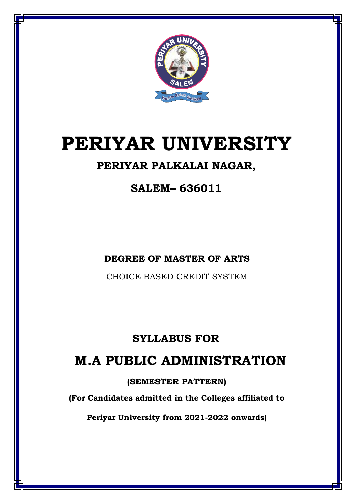

# **PERIYAR UNIVERSITY**

## **PERIYAR PALKALAI NAGAR,**

**SALEM– 636011**

**DEGREE OF MASTER OF ARTS**

CHOICE BASED CREDIT SYSTEM

## **SYLLABUS FOR**

## **M.A PUBLIC ADMINISTRATION**

### **(SEMESTER PATTERN)**

**(For Candidates admitted in the Colleges affiliated to**

**Periyar University from 2021-2022 onwards)**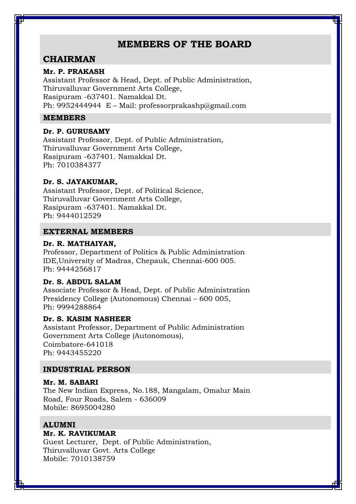### **MEMBERS OF THE BOARD**

### **CHAIRMAN**

### **Mr. P. PRAKASH**

Assistant Professor & Head, Dept. of Public Administration, Thiruvalluvar Government Arts College, Rasipuram -637401. Namakkal Dt. Ph: 9952444944 E – Mail: professorprakashp@gmail.com

### **MEMBERS**

### **Dr. P. GURUSAMY**

Assistant Professor, Dept. of Public Administration, Thiruvalluvar Government Arts College, Rasipuram -637401. Namakkal Dt. Ph: 7010384377

### **Dr. S. JAYAKUMAR,**

Assistant Professor, Dept. of Political Science, Thiruvalluvar Government Arts College, Rasipuram -637401. Namakkal Dt. Ph: 9444012529

### **EXTERNAL MEMBERS**

### **Dr. R. MATHAIYAN,**

Professor, Department of Politics & Public Administration IDE,University of Madras, Chepauk, Chennai-600 005. Ph: 9444256817

### **Dr. S. ABDUL SALAM**

Associate Professor & Head, Dept. of Public Administration Presidency College (Autonomous) Chennai – 600 005, Ph: 9994288864

### **Dr. S. KASIM NASHEER**

Assistant Professor, Department of Public Administration Government Arts College (Autonomous), Coimbatore-641018 Ph: 9443455220

### **INDUSTRIAL PERSON**

### **Mr. M. SABARI**

The New Indian Express, No.188, Mangalam, Omalur Main Road, Four Roads, Salem - 636009 Mobile: 8695004280

### **ALUMNI**

### **Mr. K. RAVIKUMAR**

Guest Lecturer, Dept. of Public Administration, Thiruvalluvar Govt. Arts College Mobile: 7010138759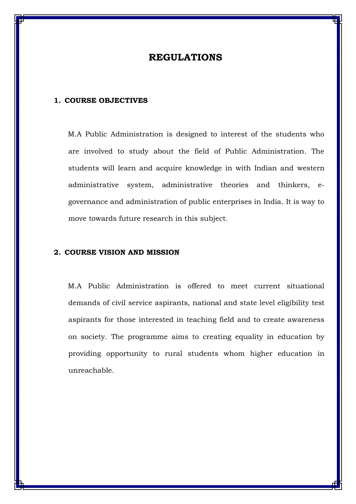### **REGULATIONS**

### **1. COURSE OBJECTIVES**

M.A Public Administration is designed to interest of the students who are involved to study about the field of Public Administration. The students will learn and acquire knowledge in with Indian and western administrative system, administrative theories and thinkers, egovernance and administration of public enterprises in India. It is way to move towards future research in this subject.

### **2. COURSE VISION AND MISSION**

M.A Public Administration is offered to meet current situational demands of civil service aspirants, national and state level eligibility test aspirants for those interested in teaching field and to create awareness on society. The programme aims to creating equality in education by providing opportunity to rural students whom higher education in unreachable.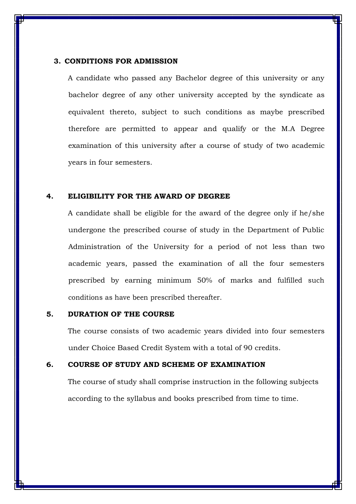### **3. CONDITIONS FOR ADMISSION**

A candidate who passed any Bachelor degree of this university or any bachelor degree of any other university accepted by the syndicate as equivalent thereto, subject to such conditions as maybe prescribed therefore are permitted to appear and qualify or the M.A Degree examination of this university after a course of study of two academic years in four semesters.

### **4. ELIGIBILITY FOR THE AWARD OF DEGREE**

A candidate shall be eligible for the award of the degree only if he/she undergone the prescribed course of study in the Department of Public Administration of the University for a period of not less than two academic years, passed the examination of all the four semesters prescribed by earning minimum 50% of marks and fulfilled such conditions as have been prescribed thereafter.

### **5. DURATION OF THE COURSE**

The course consists of two academic years divided into four semesters under Choice Based Credit System with a total of 90 credits.

#### **6. COURSE OF STUDY AND SCHEME OF EXAMINATION**

The course of study shall comprise instruction in the following subjects according to the syllabus and books prescribed from time to time.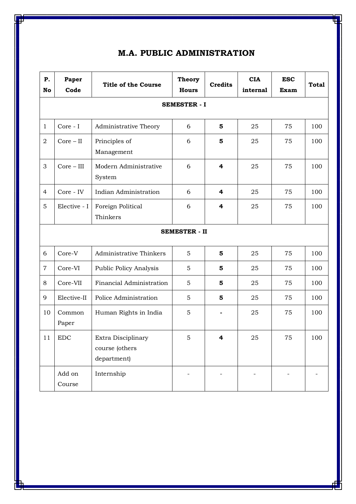| P.<br>No             | Paper<br>Code       | <b>Title of the Course</b>                          | <b>Theory</b><br><b>Hours</b> | <b>Credits</b> | <b>CIA</b><br>internal | <b>ESC</b><br>Exam | <b>Total</b> |
|----------------------|---------------------|-----------------------------------------------------|-------------------------------|----------------|------------------------|--------------------|--------------|
|                      | <b>SEMESTER - I</b> |                                                     |                               |                |                        |                    |              |
| $\mathbf{1}$         | Core - I            | Administrative Theory                               | 6                             | 5              | 25                     | 75                 | 100          |
| $\overline{2}$       | $Core - II$         | Principles of<br>Management                         | 6                             | 5              | 25                     | 75                 | 100          |
| 3                    | $Core - III$        | Modern Administrative<br>System                     | 6                             | 4              | 25                     | 75                 | 100          |
| $\overline{4}$       | Core - IV           | Indian Administration                               | 6                             | 4              | 25                     | 75                 | 100          |
| 5                    | Elective - I        | Foreign Political<br>Thinkers                       | 6                             | 4              | 25                     | 75                 | 100          |
| <b>SEMESTER - II</b> |                     |                                                     |                               |                |                        |                    |              |
| 6                    | Core-V              | Administrative Thinkers                             | 5                             | 5              | 25                     | 75                 | 100          |
| $\overline{7}$       | Core-VI             | <b>Public Policy Analysis</b>                       | 5                             | 5              | 25                     | 75                 | 100          |
| 8                    | Core-VII            | Financial Administration                            | 5                             | 5              | 25                     | 75                 | 100          |
| 9                    | Elective-II         | Police Administration                               | 5                             | 5              | 25                     | 75                 | 100          |
| 10                   | Common<br>Paper     | Human Rights in India                               | 5                             |                | 25                     | 75                 | 100          |
| 11                   | ${\rm EDC}$         | Extra Disciplinary<br>course (others<br>department) | 5.                            | 4              | $25\,$                 | 75                 | 100          |
|                      | Add on<br>Course    | Internship                                          |                               |                |                        |                    |              |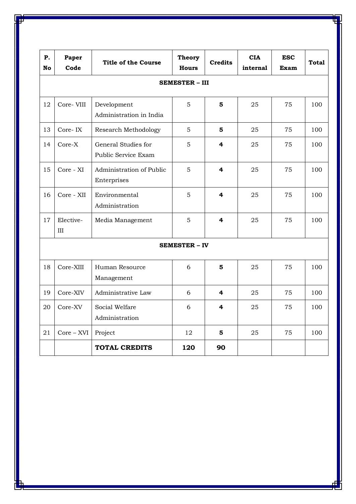| P.<br>No             | Paper<br>Code         | <b>Title of the Course</b>                 | <b>Theory</b><br><b>Hours</b> | <b>Credits</b> | <b>CIA</b><br>internal | <b>ESC</b><br>Exam | <b>Total</b> |
|----------------------|-----------------------|--------------------------------------------|-------------------------------|----------------|------------------------|--------------------|--------------|
|                      | <b>SEMESTER - III</b> |                                            |                               |                |                        |                    |              |
| 12                   | Core-VIII             | Development<br>Administration in India     | 5                             | 5              | 25                     | 75                 | 100          |
| 13                   | Core-IX               | Research Methodology                       | 5                             | 5              | 25                     | 75                 | 100          |
| 14                   | $Core-X$              | General Studies for<br>Public Service Exam | 5                             | 4              | 25                     | 75                 | 100          |
| 15                   | Core - XI             | Administration of Public<br>Enterprises    | 5                             | 4              | 25                     | 75                 | 100          |
| 16                   | Core - XII            | Environmental<br>Administration            | 5                             | 4              | 25                     | 75                 | 100          |
| 17                   | Elective-<br>III      | Media Management                           | 5                             | 4              | 25                     | 75                 | 100          |
| <b>SEMESTER - IV</b> |                       |                                            |                               |                |                        |                    |              |
| 18                   | Core-XIII             | Human Resource<br>Management               | 6                             | 5              | 25                     | 75                 | 100          |
| 19                   | Core-XIV              | Administrative Law                         | 6                             | 4              | 25                     | 75                 | 100          |
| 20                   | Core-XV               | Social Welfare<br>Administration           | 6                             | 4              | 25                     | 75                 | 100          |
| 21                   | $Core - XVI$          | Project                                    | 12                            | 5              | 25                     | 75                 | 100          |
|                      |                       | <b>TOTAL CREDITS</b>                       | 120                           | 90             |                        |                    |              |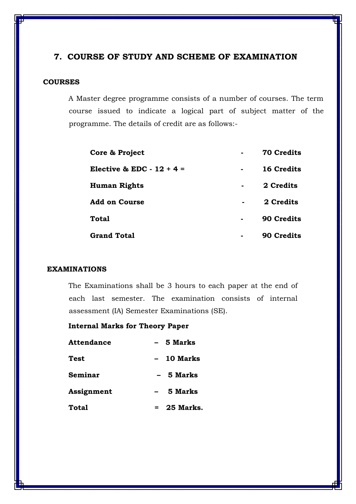### **7. COURSE OF STUDY AND SCHEME OF EXAMINATION**

### **COURSES**

A Master degree programme consists of a number of courses. The term course issued to indicate a logical part of subject matter of the programme. The details of credit are as follows:-

| Core & Project              |        | <b>70 Credits</b> |
|-----------------------------|--------|-------------------|
| Elective & EDC - $12 + 4 =$ | $\sim$ | <b>16 Credits</b> |
| <b>Human Rights</b>         |        | 2 Credits         |
| <b>Add on Course</b>        |        | 2 Credits         |
| <b>Total</b>                |        | <b>90 Credits</b> |
| <b>Grand Total</b>          |        | <b>90 Credits</b> |

### **EXAMINATIONS**

The Examinations shall be 3 hours to each paper at the end of each last semester. The examination consists of internal assessment (IA) Semester Examinations (SE).

### **Internal Marks for Theory Paper**

| <b>Attendance</b> | - 5 Marks     |  |  |
|-------------------|---------------|--|--|
| Test              | 10 Marks      |  |  |
| Seminar           | 5 Marks       |  |  |
| Assignment        | 5 Marks       |  |  |
| <b>Total</b>      | $= 25$ Marks. |  |  |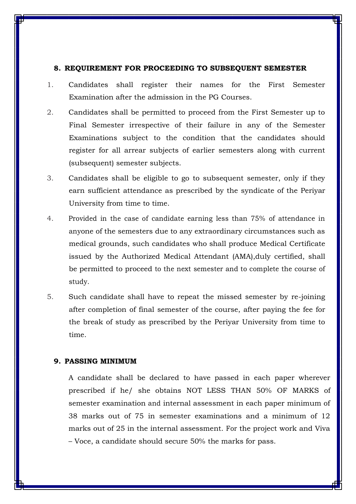### **8. REQUIREMENT FOR PROCEEDING TO SUBSEQUENT SEMESTER**

- 1. Candidates shall register their names for the First Semester Examination after the admission in the PG Courses.
- 2. Candidates shall be permitted to proceed from the First Semester up to Final Semester irrespective of their failure in any of the Semester Examinations subject to the condition that the candidates should register for all arrear subjects of earlier semesters along with current (subsequent) semester subjects.
- 3. Candidates shall be eligible to go to subsequent semester, only if they earn sufficient attendance as prescribed by the syndicate of the Periyar University from time to time.
- 4. Provided in the case of candidate earning less than 75% of attendance in anyone of the semesters due to any extraordinary circumstances such as medical grounds, such candidates who shall produce Medical Certificate issued by the Authorized Medical Attendant (AMA),duly certified, shall be permitted to proceed to the next semester and to complete the course of study.
- 5. Such candidate shall have to repeat the missed semester by re-joining after completion of final semester of the course, after paying the fee for the break of study as prescribed by the Periyar University from time to time.

### **9. PASSING MINIMUM**

A candidate shall be declared to have passed in each paper wherever prescribed if he/ she obtains NOT LESS THAN 50% OF MARKS of semester examination and internal assessment in each paper minimum of 38 marks out of 75 in semester examinations and a minimum of 12 marks out of 25 in the internal assessment. For the project work and Viva – Voce, a candidate should secure 50% the marks for pass.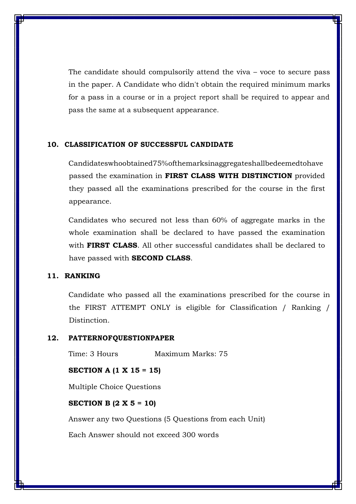The candidate should compulsorily attend the viva – voce to secure pass in the paper. A Candidate who didn't obtain the required minimum marks for a pass in a course or in a project report shall be required to appear and pass the same at a subsequent appearance.

### **10. CLASSIFICATION OF SUCCESSFUL CANDIDATE**

Candidateswhoobtained75%ofthemarksinaggregateshallbedeemedtohave passed the examination in **FIRST CLASS WITH DISTINCTION** provided they passed all the examinations prescribed for the course in the first appearance.

Candidates who secured not less than 60% of aggregate marks in the whole examination shall be declared to have passed the examination with **FIRST CLASS**. All other successful candidates shall be declared to have passed with **SECOND CLASS**.

### **11. RANKING**

Candidate who passed all the examinations prescribed for the course in the FIRST ATTEMPT ONLY is eligible for Classification / Ranking / Distinction.

#### **12. PATTERNOFQUESTIONPAPER**

Time: 3 Hours Maximum Marks: 75

### **SECTION A (1 X 15 = 15)**

Multiple Choice Questions

### **SECTION B (2 X 5 = 10)**

Answer any two Questions (5 Questions from each Unit)

Each Answer should not exceed 300 words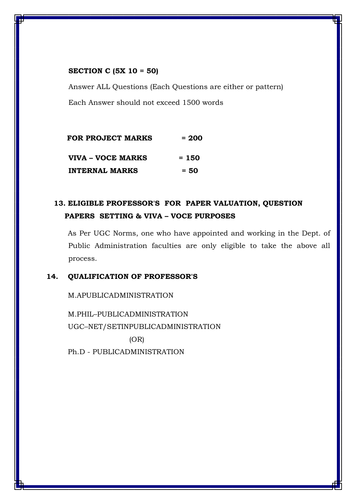### **SECTION C (5X 10 = 50)**

Answer ALL Questions (Each Questions are either or pattern) Each Answer should not exceed 1500 words

| <b>FOR PROJECT MARKS</b> | $= 200$ |
|--------------------------|---------|
| VIVA – VOCE MARKS        | $= 150$ |
| <b>INTERNAL MARKS</b>    | $= 50$  |

### **13. ELIGIBLE PROFESSOR'S FOR PAPER VALUATION, QUESTION PAPERS SETTING & VIVA – VOCE PURPOSES**

As Per UGC Norms, one who have appointed and working in the Dept. of Public Administration faculties are only eligible to take the above all process.

### **14. QUALIFICATION OF PROFESSOR'S**

M.APUBLICADMINISTRATION

M.PHIL–PUBLICADMINISTRATION UGC–NET/SETINPUBLICADMINISTRATION (OR)

Ph.D - PUBLICADMINISTRATION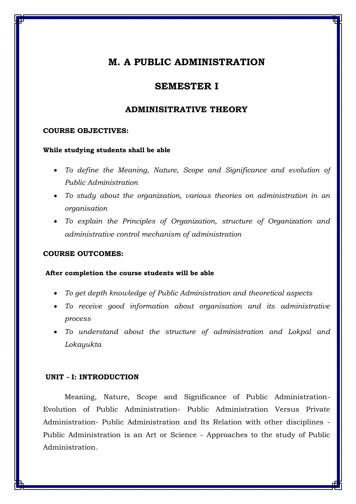### **SEMESTER I**

### **ADMINISITRATIVE THEORY**

### **COURSE OBJECTIVES:**

#### **While studying students shall be able**

- *To define the Meaning, Nature, Scope and Significance and evolution of Public Administration*
- *To study about the organization, various theories on administration in an organisation*
- *To explain the Principles of Organization, structure of Organization and administrative control mechanism of administration*

### **COURSE OUTCOMES:**

### **After completion the course students will be able**

- *To get depth knowledge of Public Administration and theoretical aspects*
- *To receive good information about organisation and its administrative process*
- *To understand about the structure of administration and Lokpal and Lokayukta*

### **UNIT - I: INTRODUCTION**

Meaning, Nature, Scope and Significance of Public Administration-Evolution of Public Administration- Public Administration Versus Private Administration- Public Administration and Its Relation with other disciplines - Public Administration is an Art or Science - Approaches to the study of Public Administration.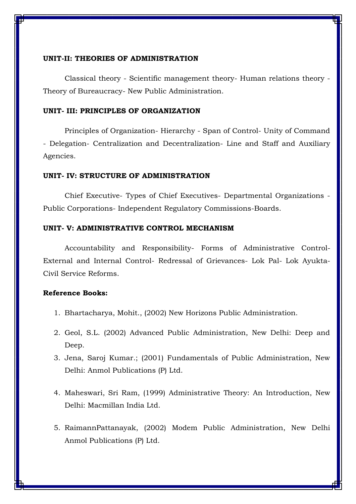### **UNIT-II: THEORIES OF ADMINISTRATION**

Classical theory - Scientific management theory- Human relations theory - Theory of Bureaucracy- New Public Administration.

### **UNIT- III: PRINCIPLES OF ORGANIZATION**

Principles of Organization- Hierarchy - Span of Control- Unity of Command - Delegation- Centralization and Decentralization- Line and Staff and Auxiliary Agencies.

#### **UNIT- IV: STRUCTURE OF ADMINISTRATION**

Chief Executive- Types of Chief Executives- Departmental Organizations - Public Corporations- Independent Regulatory Commissions-Boards.

### **UNIT- V: ADMINISTRATIVE CONTROL MECHANISM**

Accountability and Responsibility- Forms of Administrative Control-External and Internal Control- Redressal of Grievances- Lok Pal- Lok Ayukta-Civil Service Reforms.

- 1. Bhartacharya, Mohit., (2002) New Horizons Public Administration.
- 2. Geol, S.L. (2002) Advanced Public Administration, New Delhi: Deep and Deep.
- 3. Jena, Saroj Kumar.; (2001) Fundamentals of Public Administration, New Delhi: Anmol Publications (P) Ltd.
- 4. Maheswari, Sri Ram, (1999) Administrative Theory: An Introduction, New Delhi: Macmillan India Ltd.
- 5. RaimannPattanayak, (2002) Modem Public Administration, New Delhi Anmol Publications (P) Ltd.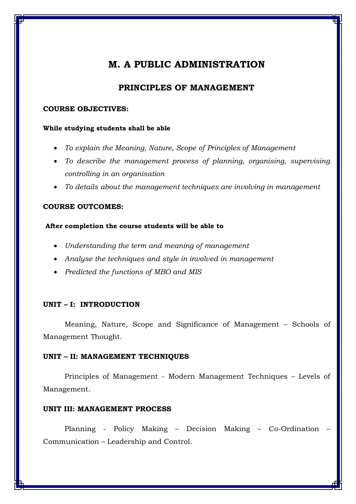### **PRINCIPLES OF MANAGEMENT**

### **COURSE OBJECTIVES:**

### **While studying students shall be able**

- *To explain the Meaning, Nature, Scope of Principles of Management*
- *To describe the management process of planning, organising, supervising controlling in an organisation*
- *To details about the management techniques are involving in management*

### **COURSE OUTCOMES:**

### **After completion the course students will be able to**

- *Understanding the term and meaning of management*
- *Analyse the techniques and style in involved in management*
- *Predicted the functions of MBO and MIS*

### **UNIT – I: INTRODUCTION**

Meaning, Nature, Scope and Significance of Management – Schools of Management Thought.

### **UNIT – II: MANAGEMENT TECHNIQUES**

Principles of Management - Modern Management Techniques – Levels of Management.

### **UNIT III: MANAGEMENT PROCESS**

Planning - Policy Making – Decision Making – Co-Ordination – Communication – Leadership and Control.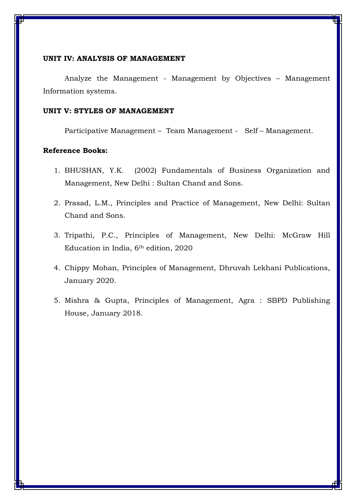### **UNIT IV: ANALYSIS OF MANAGEMENT**

Analyze the Management - Management by Objectives – Management Information systems.

### **UNIT V: STYLES OF MANAGEMENT**

Participative Management – Team Management - Self – Management.

- 1. BHUSHAN, Y.K. (2002) Fundamentals of Business Organization and Management, New Delhi : Sultan Chand and Sons.
- 2. Prasad, L.M., Principles and Practice of Management, New Delhi: Sultan Chand and Sons.
- 3. Tripathi, P.C., Principles of Management, New Delhi: McGraw Hill Education in India, 6th edition, 2020
- 4. Chippy Mohan, Principles of Management, Dhruvah Lekhani Publications, January 2020.
- 5. Mishra & Gupta, Principles of Management, Agra : SBPD Publishing House, January 2018.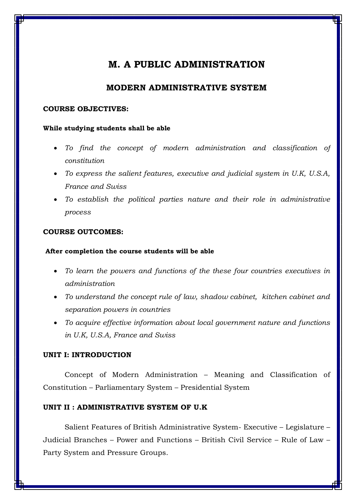### **MODERN ADMINISTRATIVE SYSTEM**

### **COURSE OBJECTIVES:**

### **While studying students shall be able**

- To find the concept of modern administration and classification of *constitution*
- *To express the salient features, executive and judicial system in U.K, U.S.A, France and Swiss*
- *To establish the political parties nature and their role in administrative process*

### **COURSE OUTCOMES:**

### **After completion the course students will be able**

- *To learn the powers and functions of the these four countries executives in administration*
- *To understand the concept rule of law, shadow cabinet, kitchen cabinet and separation powers in countries*
- *To acquire effective information about local government nature and functions in U.K, U.S.A, France and Swiss*

### **UNIT I: INTRODUCTION**

Concept of Modern Administration – Meaning and Classification of Constitution – Parliamentary System – Presidential System

### **UNIT II : ADMINISTRATIVE SYSTEM OF U.K**

Salient Features of British Administrative System- Executive – Legislature – Judicial Branches – Power and Functions – British Civil Service – Rule of Law – Party System and Pressure Groups.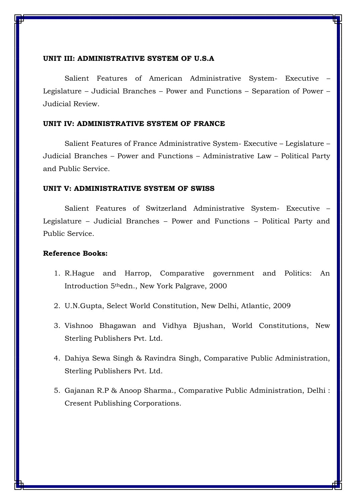### **UNIT III: ADMINISTRATIVE SYSTEM OF U.S.A**

Salient Features of American Administrative System- Executive – Legislature – Judicial Branches – Power and Functions – Separation of Power – Judicial Review.

### **UNIT IV: ADMINISTRATIVE SYSTEM OF FRANCE**

Salient Features of France Administrative System- Executive – Legislature – Judicial Branches – Power and Functions – Administrative Law – Political Party and Public Service.

### **UNIT V: ADMINISTRATIVE SYSTEM OF SWISS**

Salient Features of Switzerland Administrative System- Executive – Legislature – Judicial Branches – Power and Functions – Political Party and Public Service.

- 1. R.Hague and Harrop, Comparative government and Politics: An Introduction 5thedn., New York Palgrave, 2000
- 2. U.N.Gupta, Select World Constitution, New Delhi, Atlantic, 2009
- 3. Vishnoo Bhagawan and Vidhya Bjushan, World Constitutions, New Sterling Publishers Pvt. Ltd.
- 4. Dahiya Sewa Singh & Ravindra Singh, Comparative Public Administration, Sterling Publishers Pvt. Ltd.
- 5. Gajanan R.P & Anoop Sharma., Comparative Public Administration, Delhi : Cresent Publishing Corporations.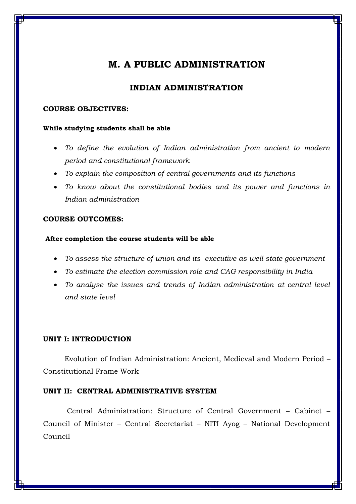### **INDIAN ADMINISTRATION**

### **COURSE OBJECTIVES:**

### **While studying students shall be able**

- *To define the evolution of Indian administration from ancient to modern period and constitutional framework*
- *To explain the composition of central governments and its functions*
- *To know about the constitutional bodies and its power and functions in Indian administration*

### **COURSE OUTCOMES:**

### **After completion the course students will be able**

- *To assess the structure of union and its executive as well state government*
- *To estimate the election commission role and CAG responsibility in India*
- *To analyse the issues and trends of Indian administration at central level and state level*

### **UNIT I: INTRODUCTION**

Evolution of Indian Administration: Ancient, Medieval and Modern Period – Constitutional Frame Work

### **UNIT II: CENTRAL ADMINISTRATIVE SYSTEM**

Central Administration: Structure of Central Government – Cabinet – Council of Minister – Central Secretariat – NITI Ayog – National Development Council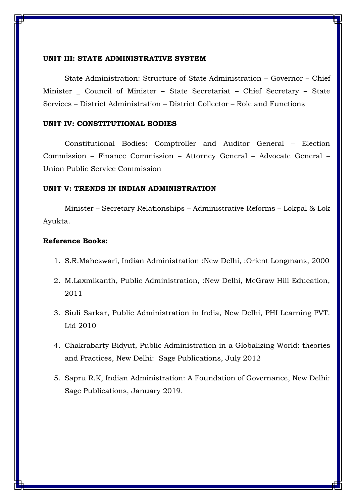### **UNIT III: STATE ADMINISTRATIVE SYSTEM**

State Administration: Structure of State Administration – Governor – Chief Minister Council of Minister – State Secretariat – Chief Secretary – State Services – District Administration – District Collector – Role and Functions

### **UNIT IV: CONSTITUTIONAL BODIES**

Constitutional Bodies: Comptroller and Auditor General – Election Commission – Finance Commission – Attorney General – Advocate General – Union Public Service Commission

### **UNIT V: TRENDS IN INDIAN ADMINISTRATION**

Minister – Secretary Relationships – Administrative Reforms – Lokpal & Lok Ayukta.

- 1. S.R.Maheswari, Indian Administration :New Delhi, :Orient Longmans, 2000
- 2. M.Laxmikanth, Public Administration, :New Delhi, McGraw Hill Education, 2011
- 3. Siuli Sarkar, Public Administration in India, New Delhi, PHI Learning PVT. Ltd 2010
- 4. Chakrabarty Bidyut, Public Administration in a Globalizing World: theories and Practices, New Delhi: Sage Publications, July 2012
- 5. Sapru R.K, Indian Administration: A Foundation of Governance, New Delhi: Sage Publications, January 2019.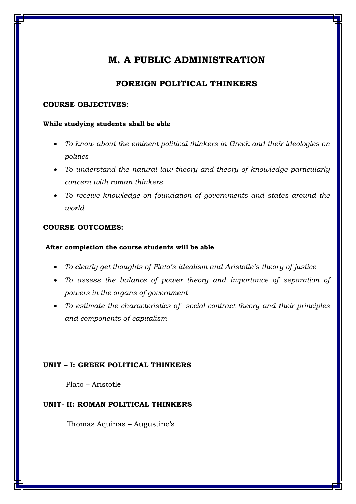### **FOREIGN POLITICAL THINKERS**

### **COURSE OBJECTIVES:**

### **While studying students shall be able**

- *To know about the eminent political thinkers in Greek and their ideologies on politics*
- *To understand the natural law theory and theory of knowledge particularly concern with roman thinkers*
- *To receive knowledge on foundation of governments and states around the world*

### **COURSE OUTCOMES:**

### **After completion the course students will be able**

- *To clearly get thoughts of Plato's idealism and Aristotle's theory of justice*
- To assess the balance of power theory and importance of separation of *powers in the organs of government*
- *To estimate the characteristics of social contract theory and their principles and components of capitalism*

### **UNIT – I: GREEK POLITICAL THINKERS**

Plato – Aristotle

### **UNIT- II: ROMAN POLITICAL THINKERS**

Thomas Aquinas – Augustine's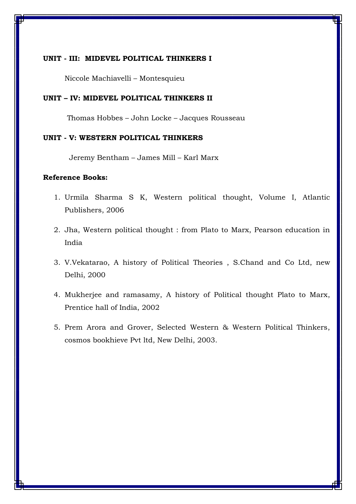### **UNIT - III: MIDEVEL POLITICAL THINKERS I**

Niccole Machiavelli – Montesquieu

### **UNIT – IV: MIDEVEL POLITICAL THINKERS II**

Thomas Hobbes – John Locke – Jacques Rousseau

### **UNIT - V: WESTERN POLITICAL THINKERS**

Jeremy Bentham – James Mill – Karl Marx

- 1. Urmila Sharma S K, Western political thought, Volume I, Atlantic Publishers, 2006
- 2. Jha, Western political thought : from Plato to Marx, Pearson education in India
- 3. V.Vekatarao, A history of Political Theories , S.Chand and Co Ltd, new Delhi, 2000
- 4. Mukherjee and ramasamy, A history of Political thought Plato to Marx, Prentice hall of India, 2002
- 5. Prem Arora and Grover, Selected Western & Western Political Thinkers, cosmos bookhieve Pvt ltd, New Delhi, 2003.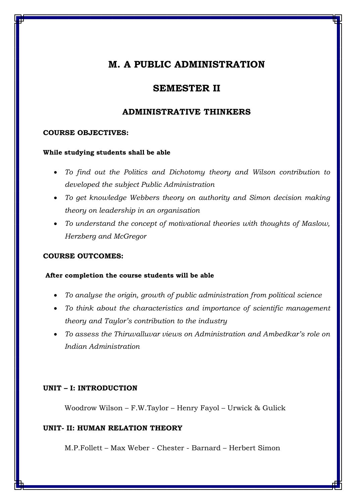### **SEMESTER II**

### **ADMINISTRATIVE THINKERS**

### **COURSE OBJECTIVES:**

### **While studying students shall be able**

- *To find out the Politics and Dichotomy theory and Wilson contribution to developed the subject Public Administration*
- *To get knowledge Webbers theory on authority and Simon decision making theory on leadership in an organisation*
- *To understand the concept of motivational theories with thoughts of Maslow, Herzberg and McGregor*

### **COURSE OUTCOMES:**

### **After completion the course students will be able**

- *To analyse the origin, growth of public administration from political science*
- *To think about the characteristics and importance of scientific management theory and Taylor's contribution to the industry*
- *To assess the Thiruvalluvar views on Administration and Ambedkar's role on Indian Administration*

### **UNIT – I: INTRODUCTION**

Woodrow Wilson – F.W.Taylor – Henry Fayol – Urwick & Gulick

### **UNIT- II: HUMAN RELATION THEORY**

M.P.Follett – Max Weber - Chester - Barnard – Herbert Simon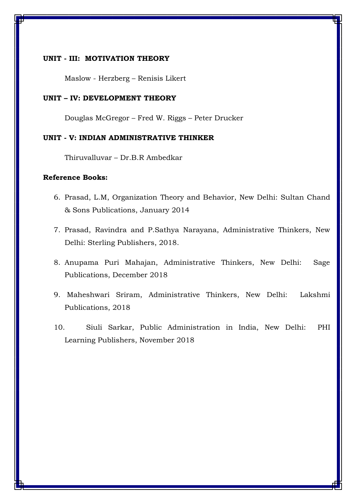### **UNIT - III: MOTIVATION THEORY**

Maslow - Herzberg – Renisis Likert

### **UNIT – IV: DEVELOPMENT THEORY**

Douglas McGregor – Fred W. Riggs – Peter Drucker

### **UNIT - V: INDIAN ADMINISTRATIVE THINKER**

Thiruvalluvar – Dr.B.R Ambedkar

- 6. Prasad, L.M, Organization Theory and Behavior, New Delhi: Sultan Chand & Sons Publications, January 2014
- 7. Prasad, Ravindra and P.Sathya Narayana, Administrative Thinkers, New Delhi: Sterling Publishers, 2018.
- 8. Anupama Puri Mahajan, Administrative Thinkers, New Delhi: Sage Publications, December 2018
- 9. Maheshwari Sriram, Administrative Thinkers, New Delhi: Lakshmi Publications, 2018
- 10. Siuli Sarkar, Public Administration in India, New Delhi: PHI Learning Publishers, November 2018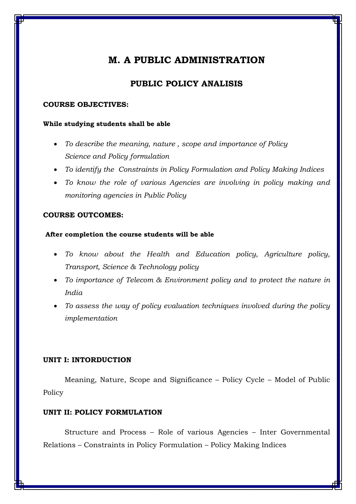### **PUBLIC POLICY ANALISIS**

### **COURSE OBJECTIVES:**

### **While studying students shall be able**

- *To describe the meaning, nature , scope and importance of Policy Science and Policy formulation*
- *To identify the Constraints in Policy Formulation and Policy Making Indices*
- *To know the role of various Agencies are involving in policy making and monitoring agencies in Public Policy*

### **COURSE OUTCOMES:**

### **After completion the course students will be able**

- *To know about the Health and Education policy, Agriculture policy, Transport, Science & Technology policy*
- *To importance of Telecom & Environment policy and to protect the nature in India*
- *To assess the way of policy evaluation techniques involved during the policy implementation*

### **UNIT I: INTORDUCTION**

Meaning, Nature, Scope and Significance – Policy Cycle – Model of Public Policy

### **UNIT II: POLICY FORMULATION**

Structure and Process – Role of various Agencies – Inter Governmental Relations – Constraints in Policy Formulation – Policy Making Indices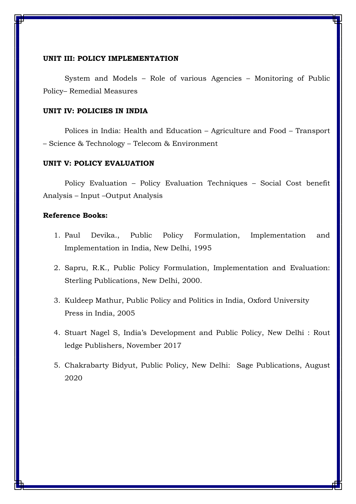### **UNIT III: POLICY IMPLEMENTATION**

System and Models – Role of various Agencies – Monitoring of Public Policy– Remedial Measures

### **UNIT IV: POLICIES IN INDIA**

Polices in India: Health and Education – Agriculture and Food – Transport – Science & Technology – Telecom & Environment

### **UNIT V: POLICY EVALUATION**

Policy Evaluation – Policy Evaluation Techniques – Social Cost benefit Analysis – Input –Output Analysis

- 1. Paul Devika., Public Policy Formulation, Implementation and Implementation in India, New Delhi, 1995
- 2. Sapru, R.K., Public Policy Formulation, Implementation and Evaluation: Sterling Publications, New Delhi, 2000.
- 3. Kuldeep Mathur, Public Policy and Politics in India, Oxford University Press in India, 2005
- 4. Stuart Nagel S, India's Development and Public Policy, New Delhi : Rout ledge Publishers, November 2017
- 5. Chakrabarty Bidyut, Public Policy, New Delhi: Sage Publications, August 2020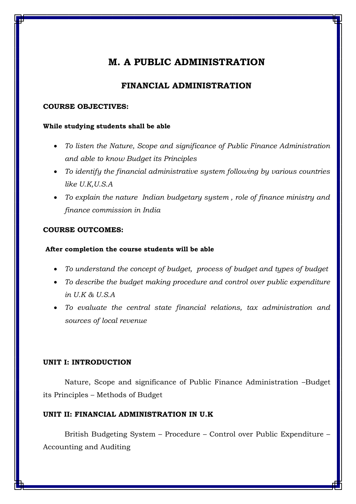### **FINANCIAL ADMINISTRATION**

### **COURSE OBJECTIVES:**

### **While studying students shall be able**

- *To listen the Nature, Scope and significance of Public Finance Administration and able to know Budget its Principles*
- *To identify the financial administrative system following by various countries like U.K,U.S.A*
- *To explain the nature Indian budgetary system , role of finance ministry and finance commission in India*

### **COURSE OUTCOMES:**

### **After completion the course students will be able**

- *To understand the concept of budget, process of budget and types of budget*
- *To describe the budget making procedure and control over public expenditure in U.K & U.S.A*
- *To evaluate the central state financial relations, tax administration and sources of local revenue*

### **UNIT I: INTRODUCTION**

Nature, Scope and significance of Public Finance Administration –Budget its Principles – Methods of Budget

### **UNIT II: FINANCIAL ADMINISTRATION IN U.K**

British Budgeting System – Procedure – Control over Public Expenditure – Accounting and Auditing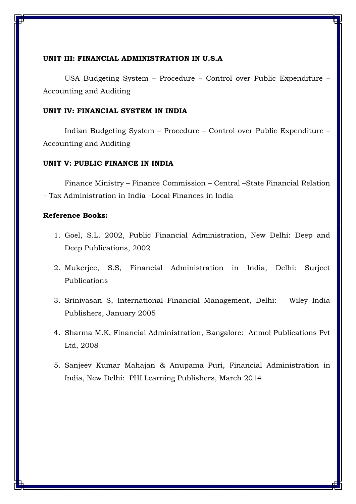### **UNIT III: FINANCIAL ADMINISTRATION IN U.S.A**

USA Budgeting System – Procedure – Control over Public Expenditure – Accounting and Auditing

### **UNIT IV: FINANCIAL SYSTEM IN INDIA**

Indian Budgeting System – Procedure – Control over Public Expenditure – Accounting and Auditing

### **UNIT V: PUBLIC FINANCE IN INDIA**

Finance Ministry – Finance Commission – Central –State Financial Relation – Tax Administration in India –Local Finances in India

- 1. Goel, S.L. 2002, Public Financial Administration, New Delhi: Deep and Deep Publications, 2002
- 2. Mukerjee, S.S, Financial Administration in India, Delhi: Surjeet Publications
- 3. Srinivasan S, International Financial Management, Delhi: Wiley India Publishers, January 2005
- 4. Sharma M.K, Financial Administration, Bangalore: Anmol Publications Pvt Ltd, 2008
- 5. Sanjeev Kumar Mahajan & Anupama Puri, Financial Administration in India, New Delhi: PHI Learning Publishers, March 2014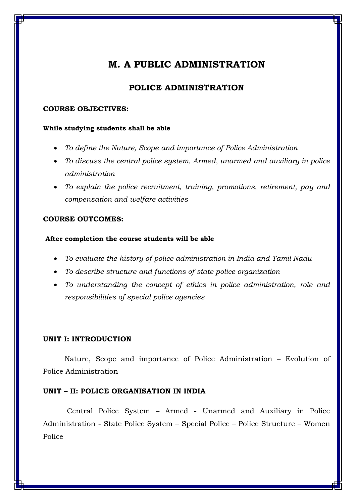### **POLICE ADMINISTRATION**

### **COURSE OBJECTIVES:**

### **While studying students shall be able**

- *To define the Nature, Scope and importance of Police Administration*
- *To discuss the central police system, Armed, unarmed and auxiliary in police administration*
- *To explain the police recruitment, training, promotions, retirement, pay and compensation and welfare activities*

### **COURSE OUTCOMES:**

### **After completion the course students will be able**

- *To evaluate the history of police administration in India and Tamil Nadu*
- *To describe structure and functions of state police organization*
- *To understanding the concept of ethics in police administration, role and responsibilities of special police agencies*

### **UNIT I: INTRODUCTION**

Nature, Scope and importance of Police Administration – Evolution of Police Administration

### **UNIT – II: POLICE ORGANISATION IN INDIA**

Central Police System – Armed - Unarmed and Auxiliary in Police Administration - State Police System – Special Police – Police Structure – Women Police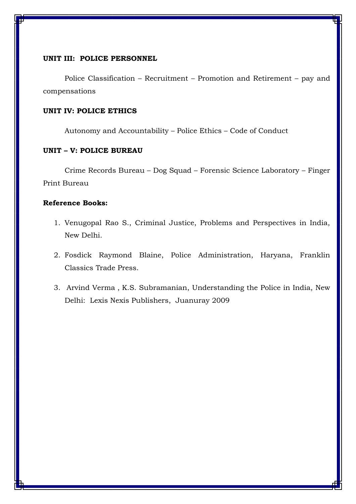### **UNIT III: POLICE PERSONNEL**

Police Classification – Recruitment – Promotion and Retirement – pay and compensations

### **UNIT IV: POLICE ETHICS**

Autonomy and Accountability – Police Ethics – Code of Conduct

### **UNIT – V: POLICE BUREAU**

Crime Records Bureau – Dog Squad – Forensic Science Laboratory – Finger Print Bureau

- 1. Venugopal Rao S., Criminal Justice, Problems and Perspectives in India, New Delhi.
- 2. Fosdick Raymond Blaine, Police Administration, Haryana, Franklin Classics Trade Press.
- 3. [Arvind Verma](https://www.amazon.in/s/ref=dp_byline_sr_book_1?ie=UTF8&field-author=Arvind+Verma&search-alias=stripbooks) , K.S. Subramanian, Understanding the Police in India, New Delhi: Lexis Nexis Publishers, Juanuray 2009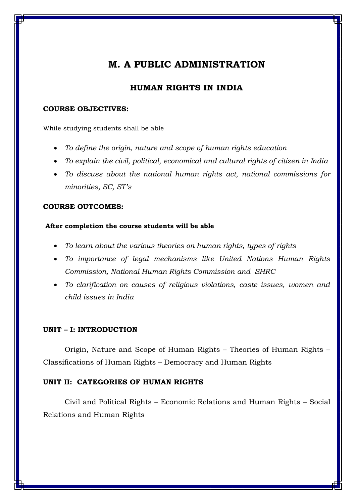### **HUMAN RIGHTS IN INDIA**

### **COURSE OBJECTIVES:**

While studying students shall be able

- *To define the origin, nature and scope of human rights education*
- *To explain the civil, political, economical and cultural rights of citizen in India*
- *To discuss about the national human rights act, national commissions for minorities, SC, ST's*

### **COURSE OUTCOMES:**

### **After completion the course students will be able**

- *To learn about the various theories on human rights, types of rights*
- *To importance of legal mechanisms like United Nations Human Rights Commission, National Human Rights Commission and SHRC*
- *To clarification on causes of religious violations, caste issues, women and child issues in India*

### **UNIT – I: INTRODUCTION**

Origin, Nature and Scope of Human Rights – Theories of Human Rights – Classifications of Human Rights – Democracy and Human Rights

### **UNIT II: CATEGORIES OF HUMAN RIGHTS**

Civil and Political Rights – Economic Relations and Human Rights – Social Relations and Human Rights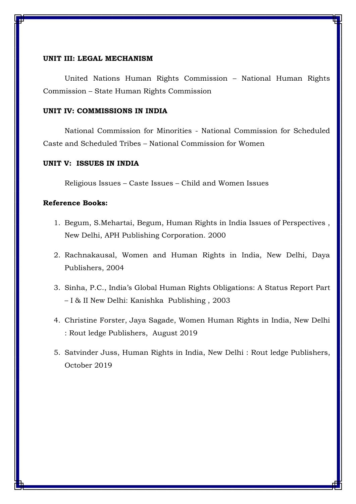#### **UNIT III: LEGAL MECHANISM**

United Nations Human Rights Commission – National Human Rights Commission – State Human Rights Commission

### **UNIT IV: COMMISSIONS IN INDIA**

National Commission for Minorities - National Commission for Scheduled Caste and Scheduled Tribes – National Commission for Women

### **UNIT V: ISSUES IN INDIA**

Religious Issues – Caste Issues – Child and Women Issues

- 1. Begum, S.Mehartai, Begum, Human Rights in India Issues of Perspectives , New Delhi, APH Publishing Corporation. 2000
- 2. Rachnakausal, Women and Human Rights in India, New Delhi, Daya Publishers, 2004
- 3. Sinha, P.C., India's Global Human Rights Obligations: A Status Report Part – I & II New Delhi: Kanishka Publishing , 2003
- 4. [Christine Forster,](https://www.google.com/search?safe=active&sa=X&biw=1600&bih=757&sxsrf=ALeKk02WbSY7a_rJEbK_y7MaDmhnTbhljw:1619337675119&q=Christine+Forster&stick=H4sIAAAAAAAAAOPgE-LVT9c3NEzLLk7Pq6jKU4Jw03Pji03ji5K1ZLKTrfST8vOz9cuLMktKUvPiy_OLsq0SS0sy8osWsQo6ZxRlFpdk5qUquOUXFZekFu1gZQQAY2uk51UAAAA&ved=2ahUKEwir7ZX39pjwAhXxILcAHVa4Ao4QmxMoATAQegQIDxAD&cshid=1619337708483450) [Jaya Sagade,](https://www.google.com/search?safe=active&sa=X&biw=1600&bih=757&sxsrf=ALeKk02WbSY7a_rJEbK_y7MaDmhnTbhljw:1619337675119&q=Jaya+Sagade&stick=H4sIAAAAAAAAAOPgE-LVT9c3NEzLLk7Pq6jKU-IBcY3yKjIKk8yTtWSyk630k_Lzs_XLizJLSlLz4svzi7KtEktLMvKLFrFyeyVWJioEJ6YnpqTuYGUEAEj6mW9OAAAA&ved=2ahUKEwir7ZX39pjwAhXxILcAHVa4Ao4QmxMoAjAQegQIDxAE&cshid=1619337708483450) Women Human Rights in India, New Delhi : Rout ledge Publishers, August 2019
- 5. Satvinder Juss, Human Rights in India, New Delhi : Rout ledge Publishers, October 2019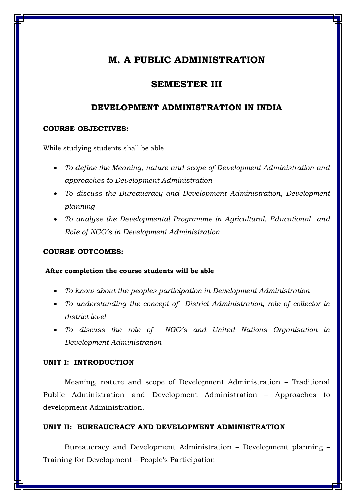### **SEMESTER III**

### **DEVELOPMENT ADMINISTRATION IN INDIA**

### **COURSE OBJECTIVES:**

While studying students shall be able

- *To define the Meaning, nature and scope of Development Administration and approaches to Development Administration*
- *To discuss the Bureaucracy and Development Administration, Development planning*
- *To analyse the Developmental Programme in Agricultural, Educational and Role of NGO's in Development Administration*

### **COURSE OUTCOMES:**

### **After completion the course students will be able**

- *To know about the peoples participation in Development Administration*
- *To understanding the concept of District Administration, role of collector in district level*
- *To discuss the role of NGO's and United Nations Organisation in Development Administration*

### **UNIT I: INTRODUCTION**

Meaning, nature and scope of Development Administration – Traditional Public Administration and Development Administration – Approaches to development Administration.

#### **UNIT II: BUREAUCRACY AND DEVELOPMENT ADMINISTRATION**

Bureaucracy and Development Administration – Development planning – Training for Development – People's Participation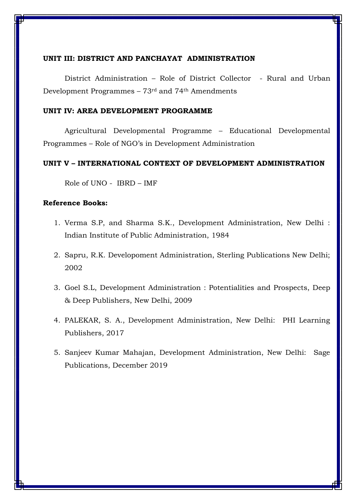### **UNIT III: DISTRICT AND PANCHAYAT ADMINISTRATION**

District Administration – Role of District Collector - Rural and Urban Development Programmes – 73rd and 74th Amendments

### **UNIT IV: AREA DEVELOPMENT PROGRAMME**

Agricultural Developmental Programme – Educational Developmental Programmes – Role of NGO's in Development Administration

### **UNIT V – INTERNATIONAL CONTEXT OF DEVELOPMENT ADMINISTRATION**

Role of UNO - IBRD – IMF

- 1. Verma S.P, and Sharma S.K., Development Administration, New Delhi : Indian Institute of Public Administration, 1984
- 2. Sapru, R.K. Developoment Administration, Sterling Publications New Delhi; 2002
- 3. Goel S.L, Development Administration : Potentialities and Prospects, Deep & Deep Publishers, New Delhi, 2009
- 4. [PALEKAR, S. A.,](https://www.phindia.com/Books/Author/OTc4ODEyMDM0NTgyOQ) Development Administration, New Delhi: PHI Learning Publishers, 2017
- 5. Sanjeev Kumar Mahajan, Development Administration, New Delhi: Sage Publications, December 2019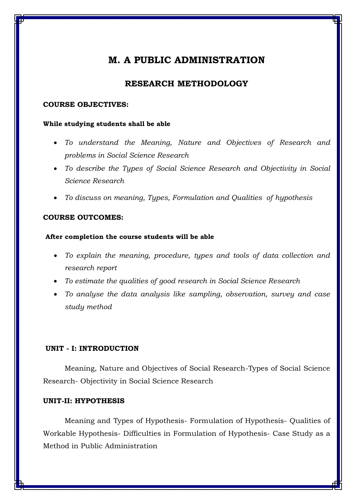### **RESEARCH METHODOLOGY**

### **COURSE OBJECTIVES:**

#### **While studying students shall be able**

- *To understand the Meaning, Nature and Objectives of Research and problems in Social Science Research*
- *To describe the Types of Social Science Research and Objectivity in Social Science Research*
- *To discuss on meaning, Types, Formulation and Qualities of hypothesis*

### **COURSE OUTCOMES:**

### **After completion the course students will be able**

- *To explain the meaning, procedure, types and tools of data collection and research report*
- *To estimate the qualities of good research in Social Science Research*
- *To analyse the data analysis like sampling, observation, survey and case study method*

### **UNIT - I: INTRODUCTION**

Meaning, Nature and Objectives of Social Research-Types of Social Science Research- Objectivity in Social Science Research

### **UNIT-II: HYPOTHESIS**

Meaning and Types of Hypothesis- Formulation of Hypothesis- Qualities of Workable Hypothesis- Difficulties in Formulation of Hypothesis- Case Study as a Method in Public Administration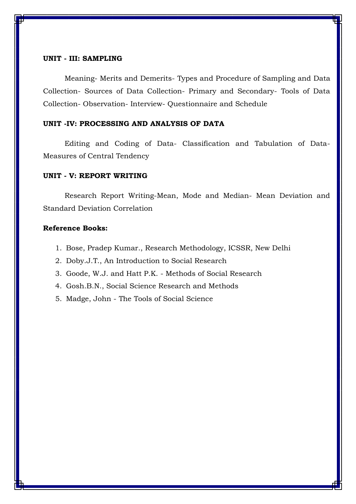### **UNIT - III: SAMPLING**

Meaning- Merits and Demerits- Types and Procedure of Sampling and Data Collection- Sources of Data Collection- Primary and Secondary- Tools of Data Collection- Observation- Interview- Questionnaire and Schedule

### **UNIT -IV: PROCESSING AND ANALYSIS OF DATA**

Editing and Coding of Data- Classification and Tabulation of Data-Measures of Central Tendency

#### **UNIT - V: REPORT WRITING**

Research Report Writing-Mean, Mode and Median- Mean Deviation and Standard Deviation Correlation

- 1. Bose, Pradep Kumar., Research Methodology, ICSSR, New Delhi
- 2. Doby.J.T., An Introduction to Social Research
- 3. Goode, W.J. and Hatt P.K. Methods of Social Research
- 4. Gosh.B.N., Social Science Research and Methods
- 5. Madge, John The Tools of Social Science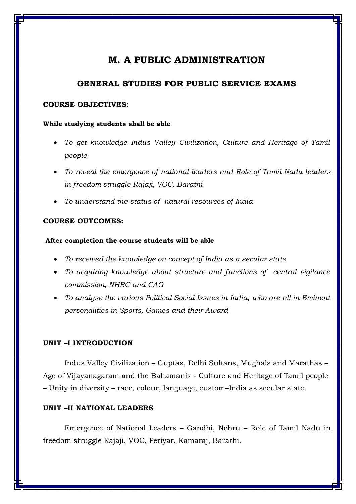### **GENERAL STUDIES FOR PUBLIC SERVICE EXAMS**

### **COURSE OBJECTIVES:**

### **While studying students shall be able**

- *To get knowledge Indus Valley Civilization, Culture and Heritage of Tamil people*
- *To reveal the emergence of national leaders and Role of Tamil Nadu leaders in freedom struggle Rajaji, VOC, Barathi*
- *To understand the status of natural resources of India*

### **COURSE OUTCOMES:**

### **After completion the course students will be able**

- *To received the knowledge on concept of India as a secular state*
- *To acquiring knowledge about structure and functions of central vigilance commission, NHRC and CAG*
- *To analyse the various Political Social Issues in India, who are all in Eminent personalities in Sports, Games and their Award*

### **UNIT –I INTRODUCTION**

Indus Valley Civilization – Guptas, Delhi Sultans, Mughals and Marathas – Age of Vijayanagaram and the Bahamanis - Culture and Heritage of Tamil people – Unity in diversity – race, colour, language, custom–India as secular state.

### **UNIT –II NATIONAL LEADERS**

Emergence of National Leaders – Gandhi, Nehru – Role of Tamil Nadu in freedom struggle Rajaji, VOC, Periyar, Kamaraj, Barathi.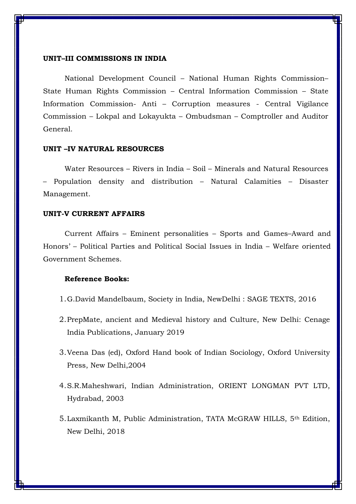#### **UNIT–III COMMISSIONS IN INDIA**

National Development Council – National Human Rights Commission– State Human Rights Commission – Central Information Commission – State Information Commission- Anti – Corruption measures - Central Vigilance Commission – Lokpal and Lokayukta – Ombudsman – Comptroller and Auditor General.

### **UNIT –IV NATURAL RESOURCES**

Water Resources – Rivers in India – Soil – Minerals and Natural Resources – Population density and distribution – Natural Calamities – Disaster Management.

### **UNIT-V CURRENT AFFAIRS**

Current Affairs – Eminent personalities – Sports and Games–Award and Honors' – Political Parties and Political Social Issues in India – Welfare oriented Government Schemes.

- 1.G.David Mandelbaum, Society in India, NewDelhi : SAGE TEXTS, 2016
- 2.PrepMate, ancient and Medieval history and Culture, New Delhi: Cenage India Publications, January 2019
- 3.Veena Das (ed), Oxford Hand book of Indian Sociology, Oxford University Press, New Delhi,2004
- 4.S.R.Maheshwari, Indian Administration, ORIENT LONGMAN PVT LTD, Hydrabad, 2003
- 5.Laxmikanth M, Public Administration, TATA McGRAW HILLS, 5th Edition, New Delhi, 2018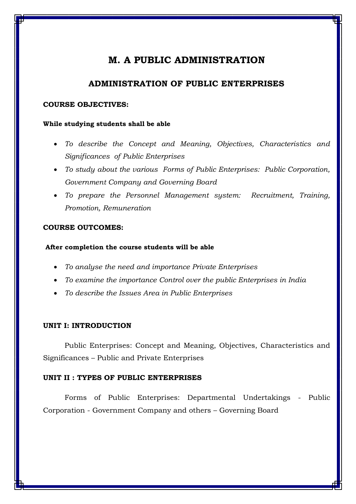### **ADMINISTRATION OF PUBLIC ENTERPRISES**

### **COURSE OBJECTIVES:**

#### **While studying students shall be able**

- *To describe the Concept and Meaning, Objectives, Characteristics and Significances of Public Enterprises*
- *To study about the various Forms of Public Enterprises: Public Corporation, Government Company and Governing Board*
- *To prepare the Personnel Management system: Recruitment, Training, Promotion, Remuneration*

### **COURSE OUTCOMES:**

#### **After completion the course students will be able**

- *To analyse the need and importance Private Enterprises*
- *To examine the importance Control over the public Enterprises in India*
- *To describe the Issues Area in Public Enterprises*

### **UNIT I: INTRODUCTION**

Public Enterprises: Concept and Meaning, Objectives, Characteristics and Significances – Public and Private Enterprises

### **UNIT II : TYPES OF PUBLIC ENTERPRISES**

Forms of Public Enterprises: Departmental Undertakings - Public Corporation - Government Company and others – Governing Board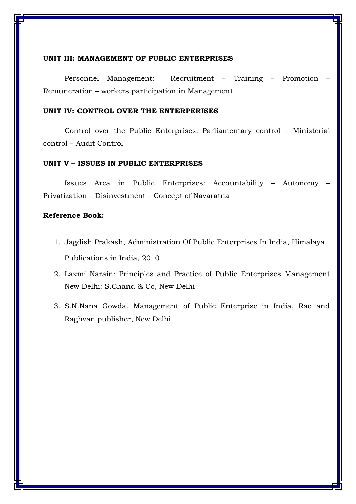#### **UNIT III: MANAGEMENT OF PUBLIC ENTERPRISES**

Personnel Management: Recruitment – Training – Promotion – Remuneration – workers participation in Management

### **UNIT IV: CONTROL OVER THE ENTERPERISES**

Control over the Public Enterprises: Parliamentary control – Ministerial control – Audit Control

#### **UNIT V – ISSUES IN PUBLIC ENTERPRISES**

Issues Area in Public Enterprises: Accountability – Autonomy – Privatization – Disinvestment – Concept of Navaratna

- 1. [Jagdish Prakash,](https://www.amazon.in/s/ref=dp_byline_sr_book_1?ie=UTF8&field-author=Dr.Jagdish+Prakash&search-alias=stripbooks) Administration Of Public Enterprises In India, Himalaya Publications in India, 2010
- 2. Laxmi Narain: Principles and Practice of Public Enterprises Management New Delhi: S.Chand & Co, New Delhi
- 3. S.N.Nana Gowda, Management of Public Enterprise in India, Rao and Raghvan publisher, New Delhi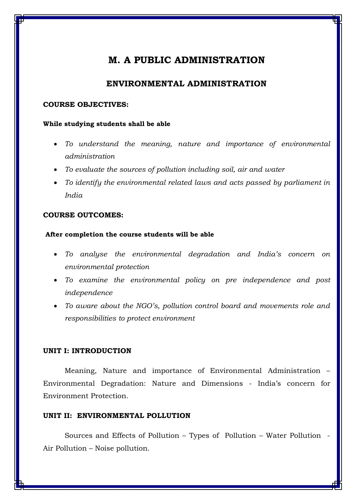### **ENVIRONMENTAL ADMINISTRATION**

### **COURSE OBJECTIVES:**

#### **While studying students shall be able**

- *To understand the meaning, nature and importance of environmental administration*
- *To evaluate the sources of pollution including soil, air and water*
- *To identify the environmental related laws and acts passed by parliament in India*

### **COURSE OUTCOMES:**

### **After completion the course students will be able**

- *To analyse the environmental degradation and India's concern on environmental protection*
- *To examine the environmental policy on pre independence and post independence*
- *To aware about the NGO's, pollution control board and movements role and responsibilities to protect environment*

### **UNIT I: INTRODUCTION**

Meaning, Nature and importance of Environmental Administration – Environmental Degradation: Nature and Dimensions - India's concern for Environment Protection.

### **UNIT II: ENVIRONMENTAL POLLUTION**

Sources and Effects of Pollution – Types of Pollution – Water Pollution - Air Pollution – Noise pollution.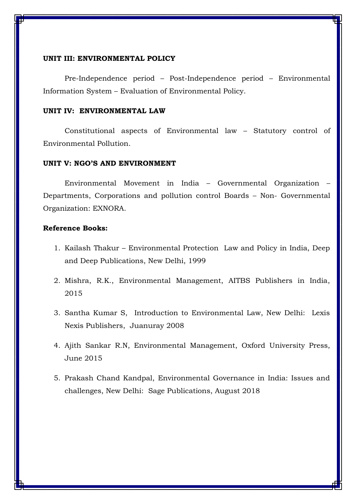#### **UNIT III: ENVIRONMENTAL POLICY**

Pre-Independence period – Post-Independence period – Environmental Information System – Evaluation of Environmental Policy.

### **UNIT IV: ENVIRONMENTAL LAW**

Constitutional aspects of Environmental law – Statutory control of Environmental Pollution.

### **UNIT V: NGO'S AND ENVIRONMENT**

Environmental Movement in India – Governmental Organization – Departments, Corporations and pollution control Boards – Non- Governmental Organization: EXNORA.

- 1. Kailash Thakur Environmental Protection Law and Policy in India, Deep and Deep Publications, New Delhi, 1999
- 2. Mishra, R.K., Environmental Management, AITBS Publishers in India, 2015
- 3. Santha Kumar S, Introduction to Environmental Law, New Delhi: Lexis Nexis Publishers, Juanuray 2008
- 4. Ajith Sankar R.N, Environmental Management, Oxford University Press, June 2015
- 5. Prakash Chand Kandpal, Environmental Governance in India: Issues and challenges, New Delhi: Sage Publications, August 2018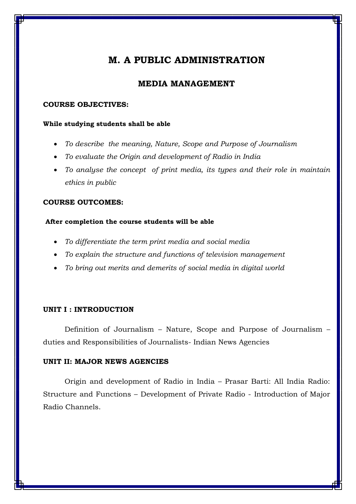### **MEDIA MANAGEMENT**

### **COURSE OBJECTIVES:**

#### **While studying students shall be able**

- *To describe the meaning, Nature, Scope and Purpose of Journalism*
- *To evaluate the Origin and development of Radio in India*
- *To analyse the concept of print media, its types and their role in maintain ethics in public*

### **COURSE OUTCOMES:**

### **After completion the course students will be able**

- *To differentiate the term print media and social media*
- *To explain the structure and functions of television management*
- *To bring out merits and demerits of social media in digital world*

### **UNIT I : INTRODUCTION**

Definition of Journalism – Nature, Scope and Purpose of Journalism – duties and Responsibilities of Journalists- Indian News Agencies

### **UNIT II: MAJOR NEWS AGENCIES**

Origin and development of Radio in India – Prasar Barti: All India Radio: Structure and Functions – Development of Private Radio - Introduction of Major Radio Channels.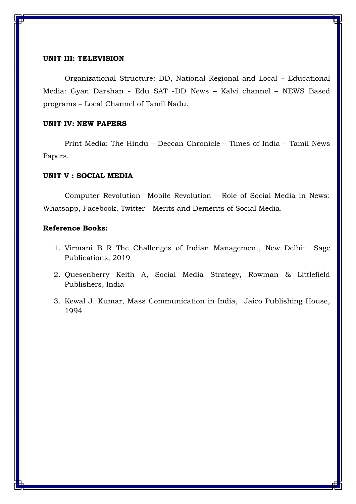### **UNIT III: TELEVISION**

Organizational Structure: DD, National Regional and Local – Educational Media: Gyan Darshan - Edu SAT -DD News – Kalvi channel – NEWS Based programs – Local Channel of Tamil Nadu.

### **UNIT IV: NEW PAPERS**

Print Media: The Hindu – Deccan Chronicle – Times of India – Tamil News Papers.

### **UNIT V : SOCIAL MEDIA**

Computer Revolution –Mobile Revolution – Role of Social Media in News: Whatsapp, Facebook, Twitter - Merits and Demerits of Social Media.

- 1. Virmani B R The Challenges of Indian Management, New Delhi: Sage Publications, 2019
- 2. Quesenberry Keith A, Social Media Strategy, Rowman & Littlefield Publishers, India
- 3. Kewal J. Kumar, Mass Communication in India, Jaico Publishing House, 1994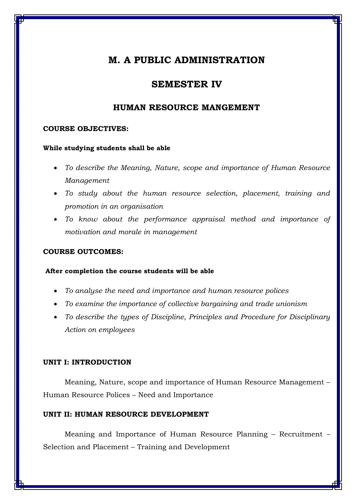### **SEMESTER IV**

### **HUMAN RESOURCE MANGEMENT**

### **COURSE OBJECTIVES:**

### **While studying students shall be able**

- *To describe the Meaning, Nature, scope and importance of Human Resource Management*
- *To study about the human resource selection, placement, training and promotion in an organisation*
- *To know about the performance appraisal method and importance of motivation and morale in management*

### **COURSE OUTCOMES:**

### **After completion the course students will be able**

- *To analyse the need and importance and human resource polices*
- *To examine the importance of collective bargaining and trade unionism*
- *To describe the types of Discipline, Principles and Procedure for Disciplinary Action on employees*

#### **UNIT I: INTRODUCTION**

Meaning, Nature, scope and importance of Human Resource Management – Human Resource Polices – Need and Importance

### **UNIT II: HUMAN RESOURCE DEVELOPMENT**

Meaning and Importance of Human Resource Planning – Recruitment – Selection and Placement – Training and Development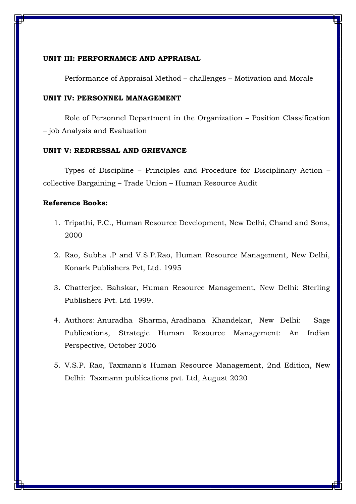### **UNIT III: PERFORNAMCE AND APPRAISAL**

Performance of Appraisal Method – challenges – Motivation and Morale

### **UNIT IV: PERSONNEL MANAGEMENT**

Role of Personnel Department in the Organization – Position Classification – job Analysis and Evaluation

### **UNIT V: REDRESSAL AND GRIEVANCE**

Types of Discipline – Principles and Procedure for Disciplinary Action – collective Bargaining – Trade Union – Human Resource Audit

- 1. Tripathi, P.C., Human Resource Development, New Delhi, Chand and Sons, 2000
- 2. Rao, Subha .P and V.S.P.Rao, Human Resource Management, New Delhi, Konark Publishers Pvt, Ltd. 1995
- 3. Chatterjee, Bahskar, Human Resource Management, New Delhi: Sterling Publishers Pvt. Ltd 1999.
- 4. [Authors:](https://www.google.co.in/search?safe=active&sa=X&hl=en&biw=1600&bih=757&sxsrf=ALeKk00v9h6dS2u_ncOLpA02Prf_taV-4w:1619342317032&q=strategic+human+resource+management:+an+indian+perspective+anuradha+sharma+authors&stick=H4sIAAAAAAAAACWMMQ7CMAwAJyQWGJgZPLNEHckz-EDlpiaJosSV4xD4Tl_aSEynu-HO19vFeDNNS3_r_Pz-HvfkrFmYk-kSVanMnSVZbBpY9tOrqqCSjw5Cy1hAqHITRzAEPWUqamH0WNY4sJHUjZzGD43aBNeAUANKRvg_6wGxZedRhAAAAA&ved=2ahUKEwjY2s2ciJnwAhXoILcAHXv5AwIQ6BMoADAaegQIIBAC) [Anuradha Sharma,](https://www.google.co.in/search?safe=active&sa=X&hl=en&biw=1600&bih=757&sxsrf=ALeKk00v9h6dS2u_ncOLpA02Prf_taV-4w:1619342317032&q=Anuradha+Sharma&stick=H4sIAAAAAAAAAOPgE-LVT9c3NEwqTyuJt6yoVOIBcY3yKtLTcktMtGSyk630k_Lzs_XLizJLSlLz4svzi7KtEktLMvKLFrHyO-aVFiWmZCQqBGckFuUm7mBlBADVQ_qOUgAAAA&ved=2ahUKEwjY2s2ciJnwAhXoILcAHXv5AwIQmxMoATAaegQIIBAD) [Aradhana Khandekar,](https://www.google.co.in/search?safe=active&sa=X&hl=en&biw=1600&bih=757&sxsrf=ALeKk00v9h6dS2u_ncOLpA02Prf_taV-4w:1619342317032&q=Aradhana+Khandekar&stick=H4sIAAAAAAAAAOPgE-LVT9c3NEwqTyuJt6yoVOIBc40rLS1z0ou1ZLKTrfST8vOz9cuLMktKUvPiy_OLsq0SS0sy8osWsQo5FiWmZCTmJSp4A8mU1OzEoh2sjAAqu_TpVQAAAA&ved=2ahUKEwjY2s2ciJnwAhXoILcAHXv5AwIQmxMoAjAaegQIIBAE) New Delhi: Sage Publications, Strategic Human Resource Management: An Indian Perspective, October 2006
- 5. [V.S.P. Rao,](https://www.amazon.in/s/ref=dp_byline_sr_book_1?ie=UTF8&field-author=V.S.P.+Rao&search-alias=stripbooks) Taxmann's Human Resource Management, 2nd Edition, New Delhi: Taxmann publications pvt. Ltd, August 2020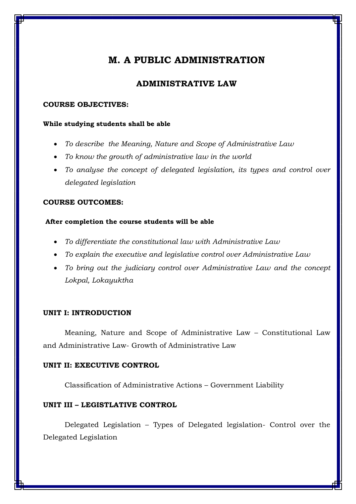### **ADMINISTRATIVE LAW**

#### **COURSE OBJECTIVES:**

#### **While studying students shall be able**

- *To describe the Meaning, Nature and Scope of Administrative Law*
- *To know the growth of administrative law in the world*
- *To analyse the concept of delegated legislation, its types and control over delegated legislation*

### **COURSE OUTCOMES:**

### **After completion the course students will be able**

- *To differentiate the constitutional law with Administrative Law*
- *To explain the executive and legislative control over Administrative Law*
- *To bring out the judiciary control over Administrative Law and the concept Lokpal, Lokayuktha*

### **UNIT I: INTRODUCTION**

Meaning, Nature and Scope of Administrative Law – Constitutional Law and Administrative Law- Growth of Administrative Law

### **UNIT II: EXECUTIVE CONTROL**

Classification of Administrative Actions – Government Liability

### **UNIT III – LEGISTLATIVE CONTROL**

Delegated Legislation – Types of Delegated legislation- Control over the Delegated Legislation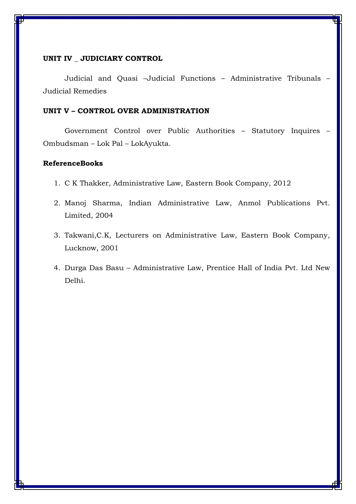### **UNIT IV \_ JUDICIARY CONTROL**

Judicial and Quasi –Judicial Functions – Administrative Tribunals – Judicial Remedies

### **UNIT V – CONTROL OVER ADMINISTRATION**

Government Control over Public Authorities – Statutory Inquires – Ombudsman – Lok Pal – LokAyukta.

- 1. C K Thakker, Administrative Law, Eastern Book Company, 2012
- 2. [Manoj Sharma,](https://www.google.co.in/search?tbo=p&tbm=bks&q=inauthor:%22Manoj+Sharma%22) Indian Administrative Law, Anmol Publications Pvt. Limited, 2004
- 3. Takwani,C.K, Lecturers on Administrative Law, Eastern Book Company, Lucknow, 2001
- 4. Durga Das Basu Administrative Law, Prentice Hall of India Pvt. Ltd New Delhi.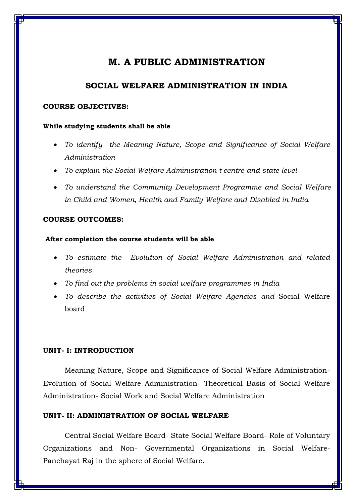### **SOCIAL WELFARE ADMINISTRATION IN INDIA**

### **COURSE OBJECTIVES:**

#### **While studying students shall be able**

- *To identify the Meaning Nature, Scope and Significance of Social Welfare Administration*
- *To explain the Social Welfare Administration t centre and state level*
- *To understand the Community Development Programme and Social Welfare in Child and Women, Health and Family Welfare and Disabled in India*

### **COURSE OUTCOMES:**

### **After completion the course students will be able**

- *To estimate the Evolution of Social Welfare Administration and related theories*
- *To find out the problems in social welfare programmes in India*
- *To describe the activities of Social Welfare Agencies and* Social Welfare board

### **UNIT- I: INTRODUCTION**

Meaning Nature, Scope and Significance of Social Welfare Administration-Evolution of Social Welfare Administration- Theoretical Basis of Social Welfare Administration- Social Work and Social Welfare Administration

### **UNIT- II: ADMINISTRATION OF SOCIAL WELFARE**

Central Social Welfare Board- State Social Welfare Board- Role of Voluntary Organizations and Non- Governmental Organizations in Social Welfare-Panchayat Raj in the sphere of Social Welfare.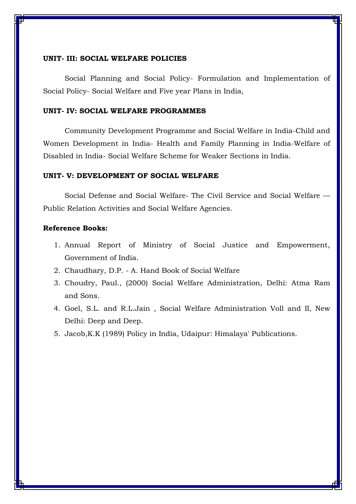### **UNIT- III: SOCIAL WELFARE POLICIES**

Social Planning and Social Policy- Formulation and Implementation of Social Policy- Social Welfare and Five year Plans in India,

### **UNIT- IV: SOCIAL WELFARE PROGRAMMES**

Community Development Programme and Social Welfare in India-Child and Women Development in India- Health and Family Planning in India-Welfare of Disabled in India- Social Welfare Scheme for Weaker Sections in India.

### **UNIT- V: DEVELOPMENT OF SOCIAL WELFARE**

Social Defense and Social Welfare- The Civil Service and Social Welfare — Public Relation Activities and Social Welfare Agencies.

- 1. Annual Report of Ministry of Social Justice and Empowerment, Government of India.
- 2. Chaudhary, D.P. A. Hand Book of Social Welfare
- 3. Choudry, Paul., (2000) Social Welfare Administration, Delhi: Atma Ram and Sons.
- 4. Goel, S.L. and R.L.Jain , Social Welfare Administration Voll and II, New Delhi: Deep and Deep.
- 5. Jacob,K.K (1989) Policy in India, Udaipur: Himalaya' Publications.